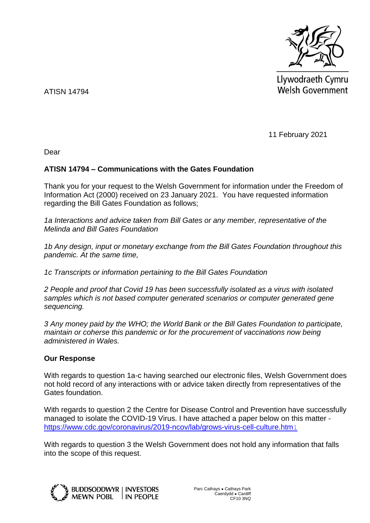

Llywodraeth Cymru Welsh Government

ATISN 14794

11 February 2021

Dear

## **ATISN 14794 – Communications with the Gates Foundation**

Thank you for your request to the Welsh Government for information under the Freedom of Information Act (2000) received on 23 January 2021. You have requested information regarding the Bill Gates Foundation as follows;

*1a Interactions and advice taken from Bill Gates or any member, representative of the Melinda and Bill Gates Foundation*

*1b Any design, input or monetary exchange from the Bill Gates Foundation throughout this pandemic. At the same time,* 

*1c Transcripts or information pertaining to the Bill Gates Foundation*

*2 People and proof that Covid 19 has been successfully isolated as a virus with isolated samples which is not based computer generated scenarios or computer generated gene sequencing.*

*3 Any money paid by the WHO; the World Bank or the Bill Gates Foundation to participate, maintain or coherse this pandemic or for the procurement of vaccinations now being administered in Wales.*

## **Our Response**

With regards to question 1a-c having searched our electronic files, Welsh Government does not hold record of any interactions with or advice taken directly from representatives of the Gates foundation.

With regards to question 2 the Centre for Disease Control and Prevention have successfully managed to isolate the COVID-19 Virus. I have attached a paper below on this matter [https://www.cdc.gov/coronavirus/2019-ncov/lab/grows-virus-cell-culture.htm](https://www.cdc.gov/coronavirus/2019-ncov/lab/grows-virus-cell-culture.html)l

With regards to question 3 the Welsh Government does not hold any information that falls into the scope of this request.



JDDSODDWYR | INVESTORS I IN PEOPLE Parc Cathays ● Cathays Park Caerdydd ● Cardiff CF10 3NQ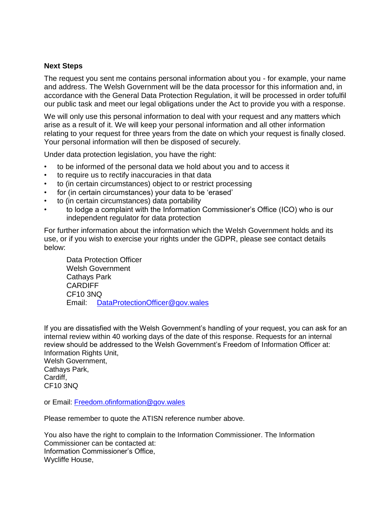## **Next Steps**

The request you sent me contains personal information about you - for example, your name and address. The Welsh Government will be the data processor for this information and, in accordance with the General Data Protection Regulation, it will be processed in order tofulfil our public task and meet our legal obligations under the Act to provide you with a response.

We will only use this personal information to deal with your request and any matters which arise as a result of it. We will keep your personal information and all other information relating to your request for three years from the date on which your request is finally closed. Your personal information will then be disposed of securely.

Under data protection legislation, you have the right:

- to be informed of the personal data we hold about you and to access it
- to require us to rectify inaccuracies in that data
- to (in certain circumstances) object to or restrict processing
- for (in certain circumstances) your data to be 'erased'
- to (in certain circumstances) data portability
- to lodge a complaint with the Information Commissioner's Office (ICO) who is our independent regulator for data protection

For further information about the information which the Welsh Government holds and its use, or if you wish to exercise your rights under the GDPR, please see contact details below:

Data Protection Officer Welsh Government Cathays Park **CARDIFF** CF10 3NQ Email: [DataProtectionOfficer@gov.wales](mailto:DataProtectionOfficer@gov.wales)

If you are dissatisfied with the Welsh Government's handling of your request, you can ask for an internal review within 40 working days of the date of this response. Requests for an internal review should be addressed to the Welsh Government's Freedom of Information Officer at: Information Rights Unit,

Welsh Government, Cathays Park, Cardiff, CF10 3NQ

or Email: [Freedom.ofinformation@gov.wales](mailto:Freedom.ofinformation@gov.wales)

Please remember to quote the ATISN reference number above.

You also have the right to complain to the Information Commissioner. The Information Commissioner can be contacted at: Information Commissioner's Office, Wycliffe House,